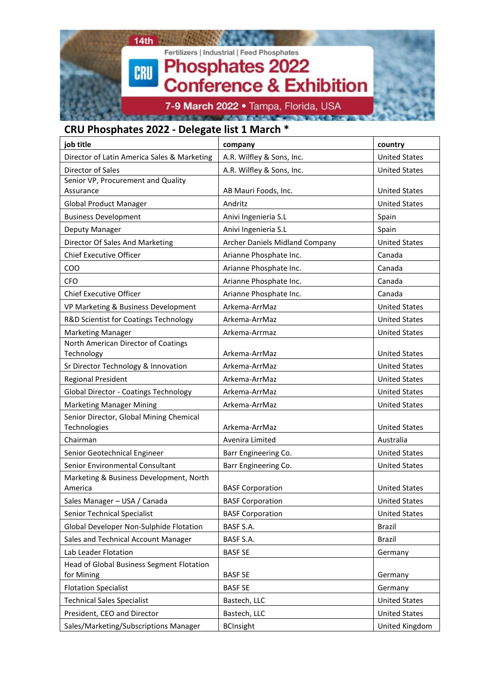

#### **CRU Phosphates 2022 - Delegate list 1 March \***

| job title                                               | company                        | country              |
|---------------------------------------------------------|--------------------------------|----------------------|
| Director of Latin America Sales & Marketing             | A.R. Wilfley & Sons, Inc.      | <b>United States</b> |
| Director of Sales                                       | A.R. Wilfley & Sons, Inc.      | <b>United States</b> |
| Senior VP, Procurement and Quality                      |                                |                      |
| Assurance                                               | AB Mauri Foods, Inc.           | <b>United States</b> |
| <b>Global Product Manager</b>                           | Andritz                        | <b>United States</b> |
| <b>Business Development</b>                             | Anivi Ingenieria S.L           | Spain                |
| Deputy Manager                                          | Anivi Ingenieria S.L           | Spain                |
| Director Of Sales And Marketing                         | Archer Daniels Midland Company | <b>United States</b> |
| <b>Chief Executive Officer</b>                          | Arianne Phosphate Inc.         | Canada               |
| COO                                                     | Arianne Phosphate Inc.         | Canada               |
| <b>CFO</b>                                              | Arianne Phosphate Inc.         | Canada               |
| <b>Chief Executive Officer</b>                          | Arianne Phosphate Inc.         | Canada               |
| VP Marketing & Business Development                     | Arkema-ArrMaz                  | <b>United States</b> |
| R&D Scientist for Coatings Technology                   | Arkema-ArrMaz                  | <b>United States</b> |
| <b>Marketing Manager</b>                                | Arkema-Arrmaz                  | <b>United States</b> |
| North American Director of Coatings                     |                                |                      |
| Technology                                              | Arkema-ArrMaz                  | <b>United States</b> |
| Sr Director Technology & Innovation                     | Arkema-ArrMaz                  | <b>United States</b> |
| <b>Regional President</b>                               | Arkema-ArrMaz                  | <b>United States</b> |
| <b>Global Director - Coatings Technology</b>            | Arkema-ArrMaz                  | <b>United States</b> |
| <b>Marketing Manager Mining</b>                         | Arkema-ArrMaz                  | <b>United States</b> |
| Senior Director, Global Mining Chemical<br>Technologies | Arkema-ArrMaz                  | <b>United States</b> |
| Chairman                                                | Avenira Limited                | Australia            |
| Senior Geotechnical Engineer                            | Barr Engineering Co.           | <b>United States</b> |
| Senior Environmental Consultant                         | Barr Engineering Co.           | <b>United States</b> |
| Marketing & Business Development, North<br>America      | <b>BASF Corporation</b>        | <b>United States</b> |
| Sales Manager - USA / Canada                            | <b>BASF Corporation</b>        | <b>United States</b> |
| Senior Technical Specialist                             | <b>BASF Corporation</b>        | <b>United States</b> |
| Global Developer Non-Sulphide Flotation                 | BASF S.A.                      | <b>Brazil</b>        |
| Sales and Technical Account Manager                     | BASF S.A.                      | Brazil               |
| Lab Leader Flotation                                    | <b>BASF SE</b>                 | Germany              |
| Head of Global Business Segment Flotation               |                                |                      |
| for Mining                                              | <b>BASF SE</b>                 | Germany              |
| <b>Flotation Specialist</b>                             | <b>BASF SE</b>                 | Germany              |
| <b>Technical Sales Specialist</b>                       | Bastech, LLC                   | <b>United States</b> |
| President, CEO and Director                             | Bastech, LLC                   | <b>United States</b> |
| Sales/Marketing/Subscriptions Manager                   | <b>BCInsight</b>               | United Kingdom       |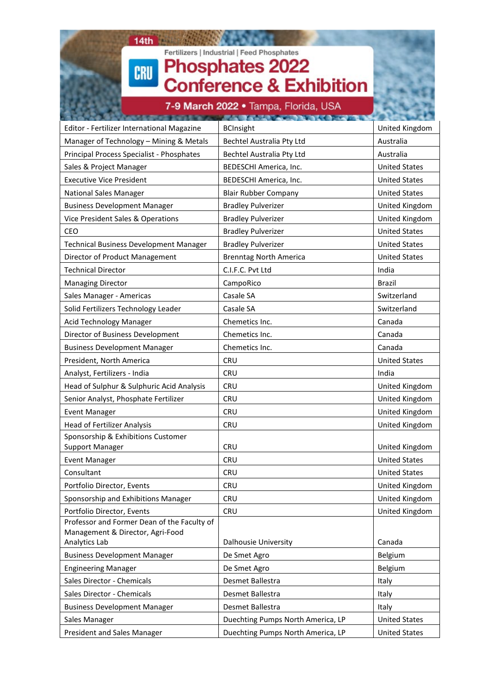## $14th$ Fertilizers | Industrial | Feed Phosphates<br>Phosphates 2022<br>Conference & Exhibition CRU

#### 7-9 March 2022 · Tampa, Florida, USA

| Editor - Fertilizer International Magazine        | <b>BCInsight</b>                  | United Kingdom       |
|---------------------------------------------------|-----------------------------------|----------------------|
| Manager of Technology - Mining & Metals           | Bechtel Australia Pty Ltd         | Australia            |
| Principal Process Specialist - Phosphates         | Bechtel Australia Pty Ltd         | Australia            |
| Sales & Project Manager                           | BEDESCHI America, Inc.            | <b>United States</b> |
| <b>Executive Vice President</b>                   | BEDESCHI America, Inc.            | <b>United States</b> |
| <b>National Sales Manager</b>                     | <b>Blair Rubber Company</b>       | <b>United States</b> |
| <b>Business Development Manager</b>               | <b>Bradley Pulverizer</b>         | United Kingdom       |
| Vice President Sales & Operations                 | <b>Bradley Pulverizer</b>         | United Kingdom       |
| CEO                                               | <b>Bradley Pulverizer</b>         | <b>United States</b> |
| <b>Technical Business Development Manager</b>     | <b>Bradley Pulverizer</b>         | <b>United States</b> |
| Director of Product Management                    | <b>Brenntag North America</b>     | <b>United States</b> |
| <b>Technical Director</b>                         | C.I.F.C. Pvt Ltd                  | India                |
| <b>Managing Director</b>                          | CampoRico                         | <b>Brazil</b>        |
| Sales Manager - Americas                          | Casale SA                         | Switzerland          |
| Solid Fertilizers Technology Leader               | Casale SA                         | Switzerland          |
| Acid Technology Manager                           | Chemetics Inc.                    | Canada               |
| Director of Business Development                  | Chemetics Inc.                    | Canada               |
| <b>Business Development Manager</b>               | Chemetics Inc.                    | Canada               |
| President, North America                          | <b>CRU</b>                        | <b>United States</b> |
| Analyst, Fertilizers - India                      | <b>CRU</b>                        | India                |
| Head of Sulphur & Sulphuric Acid Analysis         | <b>CRU</b>                        | United Kingdom       |
| Senior Analyst, Phosphate Fertilizer              | <b>CRU</b>                        | United Kingdom       |
| <b>Event Manager</b>                              | <b>CRU</b>                        | United Kingdom       |
| <b>Head of Fertilizer Analysis</b>                | <b>CRU</b>                        | United Kingdom       |
| Sponsorship & Exhibitions Customer                |                                   |                      |
| Support Manager                                   | <b>CRU</b>                        | United Kingdom       |
| <b>Event Manager</b>                              | <b>CRU</b>                        | <b>United States</b> |
| Consultant                                        | <b>CRU</b>                        | <b>United States</b> |
| Portfolio Director, Events                        | <b>CRU</b>                        | United Kingdom       |
| Sponsorship and Exhibitions Manager               | <b>CRU</b>                        | United Kingdom       |
| Portfolio Director, Events                        | <b>CRU</b>                        | United Kingdom       |
| Professor and Former Dean of the Faculty of       |                                   |                      |
| Management & Director, Agri-Food<br>Analytics Lab | Dalhousie University              | Canada               |
| <b>Business Development Manager</b>               | De Smet Agro                      | Belgium              |
| <b>Engineering Manager</b>                        | De Smet Agro                      | Belgium              |
| Sales Director - Chemicals                        | Desmet Ballestra                  | Italy                |
| Sales Director - Chemicals                        | Desmet Ballestra                  | Italy                |
| <b>Business Development Manager</b>               | Desmet Ballestra                  | Italy                |
| Sales Manager                                     | Duechting Pumps North America, LP | <b>United States</b> |
| President and Sales Manager                       | Duechting Pumps North America, LP | <b>United States</b> |
|                                                   |                                   |                      |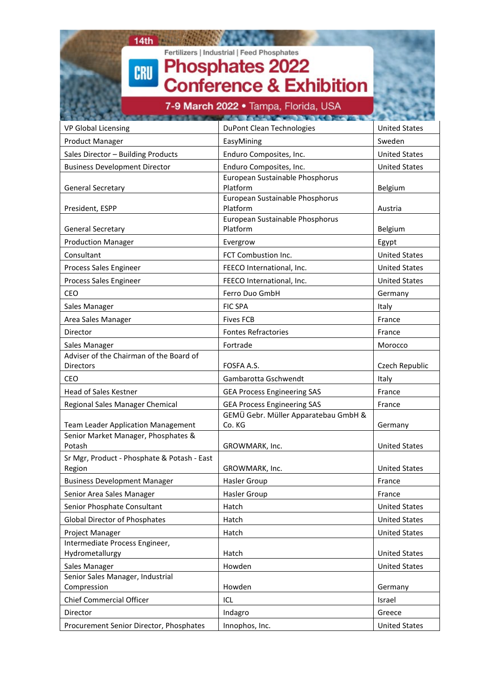| 14th<br>CRU                          | Fertilizers   Industrial   Feed Phosphates<br><b>Phosphates 2022</b><br><b>Conference &amp; Exhibition</b><br>7-9 March 2022 • Tampa, Florida, USA |                      |
|--------------------------------------|----------------------------------------------------------------------------------------------------------------------------------------------------|----------------------|
|                                      |                                                                                                                                                    |                      |
| <b>VP Global Licensing</b>           | DuPont Clean Technologies                                                                                                                          | <b>United States</b> |
| <b>Product Manager</b>               | EasyMining                                                                                                                                         | Sweden               |
| Sales Director - Building Products   | Enduro Composites, Inc.                                                                                                                            | <b>United States</b> |
| <b>Business Development Director</b> | Enduro Composites, Inc.                                                                                                                            | <b>United States</b> |
| <b>General Secretary</b>             | European Sustainable Phosphorus<br>Platform                                                                                                        | Belgium              |
| President, ESPP                      | European Sustainable Phosphorus<br>Platform                                                                                                        | Austria              |
| <b>General Secretary</b>             | European Sustainable Phosphorus<br>Platform                                                                                                        | Belgium              |
| <b>Production Manager</b>            | Evergrow                                                                                                                                           | Egypt                |
| Consultant                           | FCT Combustion Inc.                                                                                                                                | <b>United States</b> |
| Process Sales Engineer               | FEECO International, Inc.                                                                                                                          | <b>United States</b> |

Process Sales Engineer FEECO International, Inc. The United States CEO **Ferro Duo GmbH** Germany Sales Manager **FIC SPA Italy FIC SPA Italy** Area Sales Manager **Fixes FCB** Fives FCB **France** Director **Fontes Refractories** France **France** Sales Manager **Fortrade Fortrade** Morocco

Directors **FOSFA A.S.** FOSFA A.S. Czech Republic

Potash **GROWMARK, Inc.** Potash United States

Region **GROWMARK, Inc.** CHOROGIA GROWMARK, Inc.

Hydrometallurgy **Hatch** Hatch **Hatch** United States Sales Manager **Howden** Howden **Howden** Howden **United States** 

Compression **Compression** Howden **Howden** Compression **Germany** Chief Commercial Officer **ICL Israel** ICL **ISRAEL ISRAEL ISRAel** ISRAel ISRAel ISRAel ISRAel ISRAel ISRAel ISRAel ISRAel ISRAel ISRAel ISRAel ISRAel ISRAel ISRAel ISRAel ISRAel ISRAel ISRAel ISRAel ISRAel ISRAel ISRAel ISR Director **Indagro** and Indagro **Indagro** and Indagro and Indagro Procurement Senior Director, Phosphates | Innophos, Inc. | United States | United States

Business Development Manager **Hasler Group France** Senior Area Sales Manager **Hasler Group France** Senior Phosphate Consultant The Hatch Hatch Hatch United States Global Director of Phosphates **Hatch William Community Community** Hatch United States Project Manager **Hatch** Hatch **Hatch** United States

GEMÜ Gebr. Müller Apparatebau GmbH &

Co. KG Germany

CEO Gambarotta Gschwendt Italy Head of Sales Kestner **GEA Process Engineering SAS** France Regional Sales Manager Chemical **GEA Process Engineering SAS** France

Adviser of the Chairman of the Board of

Team Leader Application Management

Senior Market Manager, Phosphates &

Intermediate Process Engineer,

Senior Sales Manager, Industrial

Sr Mgr, Product - Phosphate & Potash - East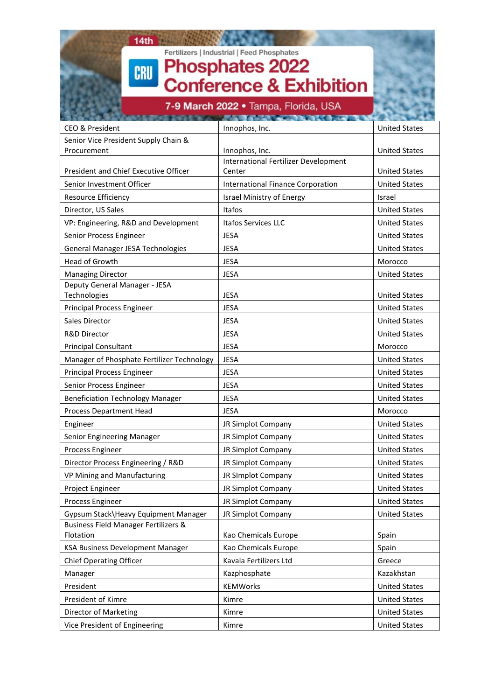### $14th$ Fertilizers | Industrial | Feed Phosphates<br>Phosphates 2022<br>Conference & Exhibition CRU

7-9 March 2022 · Tampa, Florida, USA

| <b>CEO &amp; President</b>                 | Innophos, Inc.                           | <b>United States</b> |
|--------------------------------------------|------------------------------------------|----------------------|
| Senior Vice President Supply Chain &       |                                          |                      |
| Procurement                                | Innophos, Inc.                           | <b>United States</b> |
|                                            | International Fertilizer Development     |                      |
| President and Chief Executive Officer      | Center                                   | <b>United States</b> |
| Senior Investment Officer                  | <b>International Finance Corporation</b> | <b>United States</b> |
| Resource Efficiency                        | Israel Ministry of Energy                | Israel               |
| Director, US Sales                         | Itafos                                   | <b>United States</b> |
| VP: Engineering, R&D and Development       | Itafos Services LLC                      | <b>United States</b> |
| Senior Process Engineer                    | <b>JESA</b>                              | <b>United States</b> |
| General Manager JESA Technologies          | <b>JESA</b>                              | <b>United States</b> |
| Head of Growth                             | <b>JESA</b>                              | Morocco              |
| <b>Managing Director</b>                   | <b>JESA</b>                              | <b>United States</b> |
| Deputy General Manager - JESA              |                                          |                      |
| Technologies                               | <b>JESA</b>                              | <b>United States</b> |
| <b>Principal Process Engineer</b>          | <b>JESA</b>                              | <b>United States</b> |
| Sales Director                             | <b>JESA</b>                              | <b>United States</b> |
| <b>R&amp;D Director</b>                    | <b>JESA</b>                              | <b>United States</b> |
| <b>Principal Consultant</b>                | <b>JESA</b>                              | Morocco              |
| Manager of Phosphate Fertilizer Technology | <b>JESA</b>                              | <b>United States</b> |
| <b>Principal Process Engineer</b>          | <b>JESA</b>                              | <b>United States</b> |
| Senior Process Engineer                    | <b>JESA</b>                              | <b>United States</b> |
| <b>Beneficiation Technology Manager</b>    | <b>JESA</b>                              | <b>United States</b> |
| Process Department Head                    | <b>JESA</b>                              | Morocco              |
| Engineer                                   | JR Simplot Company                       | <b>United States</b> |
| Senior Engineering Manager                 | JR Simplot Company                       | <b>United States</b> |
| Process Engineer                           | JR Simplot Company                       | <b>United States</b> |
| Director Process Engineering / R&D         | JR Simplot Company                       | <b>United States</b> |
| VP Mining and Manufacturing                | JR SImplot Company                       | <b>United States</b> |
| Project Engineer                           | JR Simplot Company                       | <b>United States</b> |
| Process Engineer                           | JR Simplot Company                       | <b>United States</b> |
| Gypsum Stack\Heavy Equipment Manager       | JR Simplot Company                       | <b>United States</b> |
| Business Field Manager Fertilizers &       |                                          |                      |
| Flotation                                  | Kao Chemicals Europe                     | Spain                |
| KSA Business Development Manager           | Kao Chemicals Europe                     | Spain                |
| <b>Chief Operating Officer</b>             | Kavala Fertilizers Ltd                   | Greece               |
| Manager                                    | Kazphosphate                             | Kazakhstan           |
| President                                  | <b>KEMWorks</b>                          | <b>United States</b> |
| President of Kimre                         | Kimre                                    | <b>United States</b> |
| Director of Marketing                      | Kimre                                    | <b>United States</b> |
| Vice President of Engineering              | Kimre                                    | <b>United States</b> |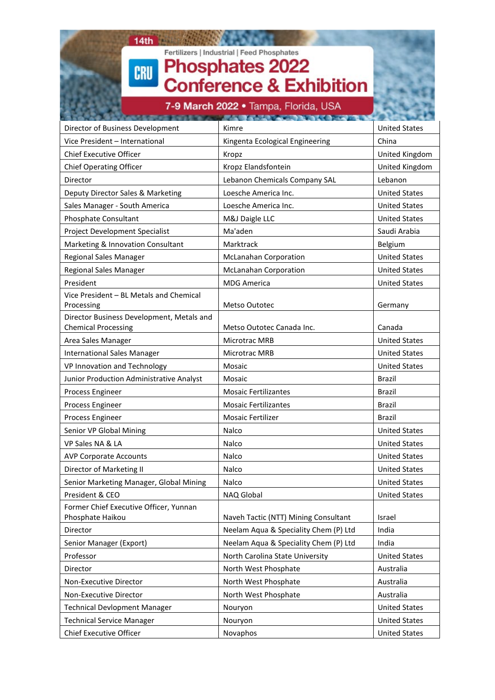# $14th$ Fertilizers | Industrial | Feed Phosphates<br>Phosphates 2022<br>Conference & Exhibition CRU 7-9 March 2022 . Tampa, Florida, USA Director of Business Development Kimre Kimre Kimre Research Lunited States Vice President – International **Example 2** Kingenta Ecological Engineering **China** Chief Executive Officer **Executive Officer** Kropz **Executive Officer** Kropz **Executive Officer** Business and Kropz

| <b>Chief Operating Officer</b>                             | Kropz Elandsfontein                   | United Kingdom       |
|------------------------------------------------------------|---------------------------------------|----------------------|
| Director                                                   | Lebanon Chemicals Company SAL         | Lebanon              |
| Deputy Director Sales & Marketing                          | Loesche America Inc.                  | <b>United States</b> |
| Sales Manager - South America                              | Loesche America Inc.                  | <b>United States</b> |
| Phosphate Consultant                                       | M&J Daigle LLC                        | <b>United States</b> |
| Project Development Specialist                             | Ma'aden                               | Saudi Arabia         |
| Marketing & Innovation Consultant                          | Marktrack                             | Belgium              |
| Regional Sales Manager                                     | <b>McLanahan Corporation</b>          | <b>United States</b> |
| <b>Regional Sales Manager</b>                              | <b>McLanahan Corporation</b>          | <b>United States</b> |
| President                                                  | <b>MDG America</b>                    | <b>United States</b> |
| Vice President - BL Metals and Chemical<br>Processing      | <b>Metso Outotec</b>                  | Germany              |
| Director Business Development, Metals and                  |                                       |                      |
| <b>Chemical Processing</b>                                 | Metso Outotec Canada Inc.             | Canada               |
| Area Sales Manager                                         | <b>Microtrac MRB</b>                  | <b>United States</b> |
| <b>International Sales Manager</b>                         | Microtrac MRB                         | <b>United States</b> |
| VP Innovation and Technology                               | Mosaic                                | <b>United States</b> |
| Junior Production Administrative Analyst                   | Mosaic                                | <b>Brazil</b>        |
| Process Engineer                                           | <b>Mosaic Fertilizantes</b>           | Brazil               |
| Process Engineer                                           | <b>Mosaic Fertilizantes</b>           | <b>Brazil</b>        |
| Process Engineer                                           | Mosaic Fertilizer                     | Brazil               |
| Senior VP Global Mining                                    | Nalco                                 | <b>United States</b> |
| VP Sales NA & LA                                           | Nalco                                 | <b>United States</b> |
| <b>AVP Corporate Accounts</b>                              | Nalco                                 | <b>United States</b> |
| Director of Marketing II                                   | Nalco                                 | <b>United States</b> |
| Senior Marketing Manager, Global Mining                    | Nalco                                 | <b>United States</b> |
| President & CEO                                            | NAQ Global                            | <b>United States</b> |
| Former Chief Executive Officer, Yunnan<br>Phosphate Haikou | Naveh Tactic (NTT) Mining Consultant  | Israel               |
| Director                                                   | Neelam Aqua & Speciality Chem (P) Ltd | India                |
| Senior Manager (Export)                                    | Neelam Aqua & Speciality Chem (P) Ltd | India                |
| Professor                                                  | North Carolina State University       | <b>United States</b> |
| Director                                                   | North West Phosphate                  | Australia            |
| Non-Executive Director                                     | North West Phosphate                  | Australia            |
| Non-Executive Director                                     | North West Phosphate                  | Australia            |
| <b>Technical Devlopment Manager</b>                        | Nouryon                               | <b>United States</b> |
| <b>Technical Service Manager</b>                           | Nouryon                               | <b>United States</b> |
| <b>Chief Executive Officer</b>                             | Novaphos                              | <b>United States</b> |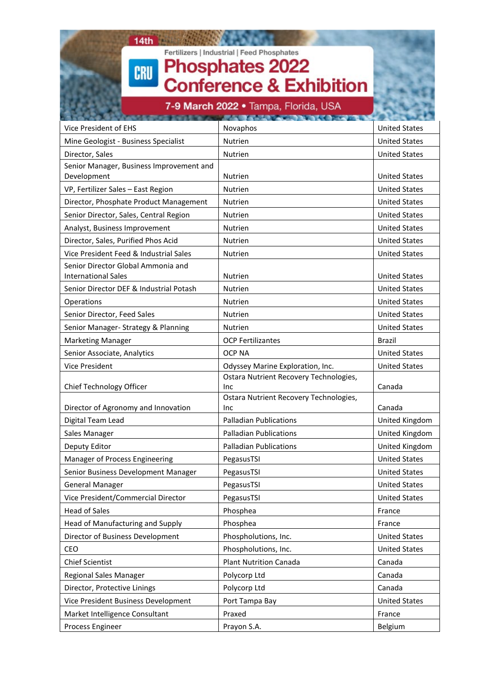

Senior Manager- Strategy & Planning Nutrien Nutrien Nutrien Nutrien Nutrien United States

Senior Associate, Analytics OCP NA United States Vice President **Odyssey Marine Exploration, Inc.** United States

Digital Team Lead Palladian Publications United Kingdom Sales Manager **Palladian Publications** Palladian Publications **Palladian** Publications **Palladian United Kingdom** Deputy Editor **Palladian Publications** Palladian Publications Publications Publications Publications Publications Publications Publications Publications Publications Publications Publications Publications Publications Publ Manager of Process Engineering PegasusTSI PegasusTSI Person number of Process Engineering Senior Business Development Manager PegasusTSI Permit Controller and Manager PegasusTSI Child States General Manager The Contract of PegasusTSI Person of the United States Vice President/Commercial Director | PegasusTSI | United States

Head of Sales **Phosphea Phosphea** France Head of Manufacturing and Supply France Resolution Resolution Phosphea France Resolution Resolution Resolution R

Market Intelligence Consultant **Praxed** Praxed **Provides Provides** France Process Engineer Process Engineer Process Engineer Process Engineer Process Engineer Process Engineer Process I

Director of Business Development Phospholutions, Inc. United States CEO Phospholutions, Inc. United States Chief Scientist Plant Nutrition Canada Canada Regional Sales Manager **Polycorp Ltd** Polycorp Ltd **Polycorp Ltd** Canada Director, Protective Linings Polycorp Ltd Polycorp Ltd Canada Vice President Business Development Port Tampa Bay President Business Development Port Tampa Bay

Ostara Nutrient Recovery Technologies,

Ostara Nutrient Recovery Technologies,

Inc **Canada** 

Inc **Canada** 

Marketing Manager **OCP Fertilizantes** Brazil

Chief Technology Officer

Director of Agronomy and Innovation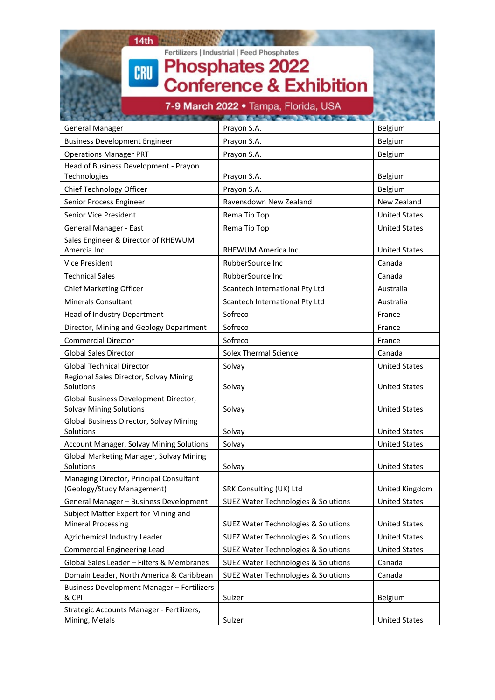| 14th                                                                    |                                                |                      |
|-------------------------------------------------------------------------|------------------------------------------------|----------------------|
|                                                                         | Fertilizers   Industrial   Feed Phosphates     |                      |
| <b>CRU</b>                                                              | <b>Phosphates 2022</b>                         |                      |
|                                                                         | <b>Conference &amp; Exhibition</b>             |                      |
|                                                                         |                                                |                      |
|                                                                         | 7-9 March 2022 • Tampa, Florida, USA           |                      |
| <b>General Manager</b>                                                  | Prayon S.A.                                    | Belgium              |
| <b>Business Development Engineer</b>                                    | Prayon S.A.                                    | Belgium              |
| <b>Operations Manager PRT</b>                                           | Prayon S.A.                                    | Belgium              |
| Head of Business Development - Prayon                                   |                                                |                      |
| Technologies                                                            | Prayon S.A.                                    | Belgium              |
| Chief Technology Officer                                                | Prayon S.A.                                    | Belgium              |
| Senior Process Engineer                                                 | Ravensdown New Zealand                         | New Zealand          |
| Senior Vice President                                                   | Rema Tip Top                                   | <b>United States</b> |
| General Manager - East                                                  | Rema Tip Top                                   | <b>United States</b> |
| Sales Engineer & Director of RHEWUM<br>Amercia Inc.                     | RHEWUM America Inc.                            | <b>United States</b> |
| Vice President                                                          | RubberSource Inc                               | Canada               |
| <b>Technical Sales</b>                                                  | RubberSource Inc                               | Canada               |
| Chief Marketing Officer                                                 | Scantech International Pty Ltd                 | Australia            |
| <b>Minerals Consultant</b>                                              | Scantech International Pty Ltd                 | Australia            |
| Head of Industry Department                                             | Sofreco                                        | France               |
| Director, Mining and Geology Department                                 | Sofreco                                        | France               |
| <b>Commercial Director</b>                                              | Sofreco                                        | France               |
| <b>Global Sales Director</b>                                            | <b>Solex Thermal Science</b>                   | Canada               |
| <b>Global Technical Director</b>                                        | Solvay                                         | <b>United States</b> |
| Regional Sales Director, Solvay Mining<br>Solutions                     | Solvay                                         | <b>United States</b> |
| Global Business Development Director,<br><b>Solvay Mining Solutions</b> | Solvay                                         | <b>United States</b> |
| Global Business Director, Solvay Mining<br>Solutions                    | Solvay                                         | <b>United States</b> |
| Account Manager, Solvay Mining Solutions                                | Solvay                                         | <b>United States</b> |
| Global Marketing Manager, Solvay Mining<br>Solutions                    | Solvay                                         | <b>United States</b> |
| Managing Director, Principal Consultant<br>(Geology/Study Management)   | SRK Consulting (UK) Ltd                        | United Kingdom       |
| General Manager - Business Development                                  | <b>SUEZ Water Technologies &amp; Solutions</b> | <b>United States</b> |
| Subject Matter Expert for Mining and<br><b>Mineral Processing</b>       | <b>SUEZ Water Technologies &amp; Solutions</b> | <b>United States</b> |
| Agrichemical Industry Leader                                            | <b>SUEZ Water Technologies &amp; Solutions</b> | <b>United States</b> |
| <b>Commercial Engineering Lead</b>                                      | <b>SUEZ Water Technologies &amp; Solutions</b> | <b>United States</b> |

Global Sales Leader – Filters & Membranes  $\frac{1}{2}$  SUEZ Water Technologies & Solutions  $\frac{1}{2}$  Canada Domain Leader, North America & Caribbean | SUEZ Water Technologies & Solutions | Canada

& CPI Sulzer Belgium

Mining, Metals **Sulzer** Sulzer **Sulzer** Sulzer **Example 3** United States

Business Development Manager – Fertilizers

Strategic Accounts Manager - Fertilizers,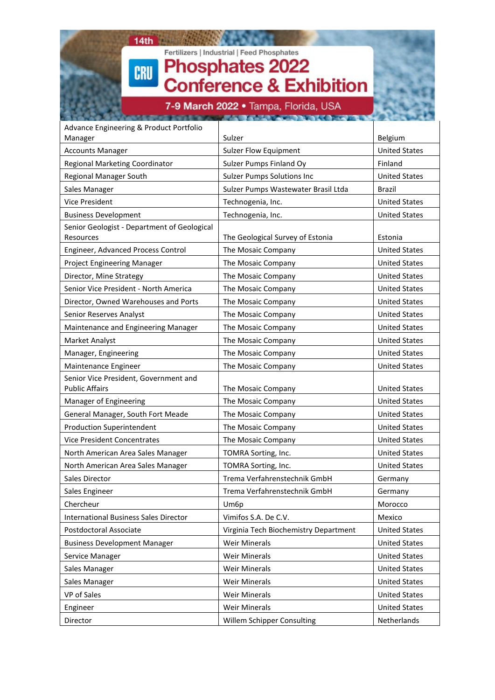### $14th$ **ANTI PRO** Fertilizers | Industrial | Feed Phosphates<br>Phosphates 2022<br>Conference & Exhibition CRU

7-9 March 2022 · Tampa, Florida, USA

| Advance Engineering & Product Portfolio                        |                                       |                      |
|----------------------------------------------------------------|---------------------------------------|----------------------|
| Manager                                                        | Sulzer                                | Belgium              |
| <b>Accounts Manager</b>                                        | <b>Sulzer Flow Equipment</b>          | <b>United States</b> |
| Regional Marketing Coordinator                                 | Sulzer Pumps Finland Oy               | Finland              |
| <b>Regional Manager South</b>                                  | <b>Sulzer Pumps Solutions Inc</b>     | <b>United States</b> |
| Sales Manager                                                  | Sulzer Pumps Wastewater Brasil Ltda   | Brazil               |
| Vice President                                                 | Technogenia, Inc.                     | <b>United States</b> |
| <b>Business Development</b>                                    | Technogenia, Inc.                     | <b>United States</b> |
| Senior Geologist - Department of Geological<br>Resources       | The Geological Survey of Estonia      | Estonia              |
| Engineer, Advanced Process Control                             | The Mosaic Company                    | <b>United States</b> |
| Project Engineering Manager                                    | The Mosaic Company                    | <b>United States</b> |
| Director, Mine Strategy                                        | The Mosaic Company                    | <b>United States</b> |
| Senior Vice President - North America                          | The Mosaic Company                    | <b>United States</b> |
| Director, Owned Warehouses and Ports                           | The Mosaic Company                    | <b>United States</b> |
| Senior Reserves Analyst                                        | The Mosaic Company                    | <b>United States</b> |
| Maintenance and Engineering Manager                            | The Mosaic Company                    | <b>United States</b> |
| Market Analyst                                                 | The Mosaic Company                    | <b>United States</b> |
| Manager, Engineering                                           | The Mosaic Company                    | <b>United States</b> |
| Maintenance Engineer                                           | The Mosaic Company                    | <b>United States</b> |
| Senior Vice President, Government and<br><b>Public Affairs</b> | The Mosaic Company                    | <b>United States</b> |
| Manager of Engineering                                         | The Mosaic Company                    | <b>United States</b> |
| General Manager, South Fort Meade                              | The Mosaic Company                    | <b>United States</b> |
| <b>Production Superintendent</b>                               | The Mosaic Company                    | <b>United States</b> |
| <b>Vice President Concentrates</b>                             | The Mosaic Company                    | <b>United States</b> |
| North American Area Sales Manager                              | TOMRA Sorting, Inc.                   | <b>United States</b> |
| North American Area Sales Manager                              | TOMRA Sorting, Inc.                   | <b>United States</b> |
| Sales Director                                                 | Trema Verfahrenstechnik GmbH          | Germany              |
| Sales Engineer                                                 | Trema Verfahrenstechnik GmbH          | Germany              |
| Chercheur                                                      | Um6p                                  | Morocco              |
| <b>International Business Sales Director</b>                   | Vimifos S.A. De C.V.                  | Mexico               |
| Postdoctoral Associate                                         | Virginia Tech Biochemistry Department | <b>United States</b> |
| <b>Business Development Manager</b>                            | <b>Weir Minerals</b>                  | <b>United States</b> |
| Service Manager                                                | <b>Weir Minerals</b>                  | <b>United States</b> |
| Sales Manager                                                  | <b>Weir Minerals</b>                  | <b>United States</b> |
| Sales Manager                                                  | <b>Weir Minerals</b>                  | <b>United States</b> |
| VP of Sales                                                    | <b>Weir Minerals</b>                  | <b>United States</b> |
| Engineer                                                       | <b>Weir Minerals</b>                  | <b>United States</b> |
| Director                                                       | Willem Schipper Consulting            | Netherlands          |